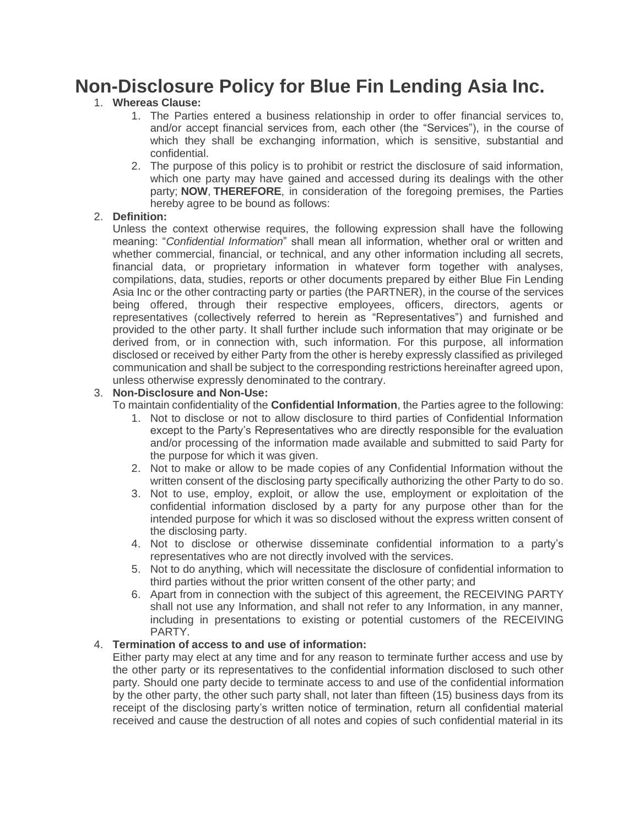# **Non-Disclosure Policy for Blue Fin Lending Asia Inc.**

# 1. **Whereas Clause:**

- 1. The Parties entered a business relationship in order to offer financial services to, and/or accept financial services from, each other (the "Services"), in the course of which they shall be exchanging information, which is sensitive, substantial and confidential.
- 2. The purpose of this policy is to prohibit or restrict the disclosure of said information, which one party may have gained and accessed during its dealings with the other party; **NOW**, **THEREFORE**, in consideration of the foregoing premises, the Parties hereby agree to be bound as follows:

#### 2. **Definition:**

Unless the context otherwise requires, the following expression shall have the following meaning: "*Confidential Information*" shall mean all information, whether oral or written and whether commercial, financial, or technical, and any other information including all secrets, financial data, or proprietary information in whatever form together with analyses, compilations, data, studies, reports or other documents prepared by either Blue Fin Lending Asia Inc or the other contracting party or parties (the PARTNER), in the course of the services being offered, through their respective employees, officers, directors, agents or representatives (collectively referred to herein as "Representatives") and furnished and provided to the other party. It shall further include such information that may originate or be derived from, or in connection with, such information. For this purpose, all information disclosed or received by either Party from the other is hereby expressly classified as privileged communication and shall be subject to the corresponding restrictions hereinafter agreed upon, unless otherwise expressly denominated to the contrary.

#### 3. **Non-Disclosure and Non-Use:**

To maintain confidentiality of the **Confidential Information**, the Parties agree to the following:

- 1. Not to disclose or not to allow disclosure to third parties of Confidential Information except to the Party's Representatives who are directly responsible for the evaluation and/or processing of the information made available and submitted to said Party for the purpose for which it was given.
- 2. Not to make or allow to be made copies of any Confidential Information without the written consent of the disclosing party specifically authorizing the other Party to do so.
- 3. Not to use, employ, exploit, or allow the use, employment or exploitation of the confidential information disclosed by a party for any purpose other than for the intended purpose for which it was so disclosed without the express written consent of the disclosing party.
- 4. Not to disclose or otherwise disseminate confidential information to a party's representatives who are not directly involved with the services.
- 5. Not to do anything, which will necessitate the disclosure of confidential information to third parties without the prior written consent of the other party; and
- 6. Apart from in connection with the subject of this agreement, the RECEIVING PARTY shall not use any Information, and shall not refer to any Information, in any manner, including in presentations to existing or potential customers of the RECEIVING PARTY.

#### 4. **Termination of access to and use of information:**

Either party may elect at any time and for any reason to terminate further access and use by the other party or its representatives to the confidential information disclosed to such other party. Should one party decide to terminate access to and use of the confidential information by the other party, the other such party shall, not later than fifteen (15) business days from its receipt of the disclosing party's written notice of termination, return all confidential material received and cause the destruction of all notes and copies of such confidential material in its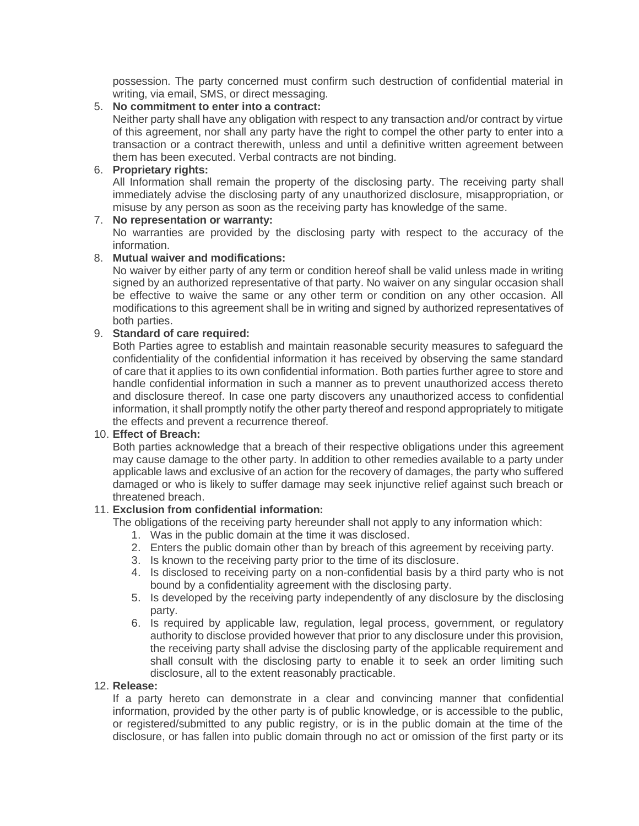possession. The party concerned must confirm such destruction of confidential material in writing, via email, SMS, or direct messaging.

### 5. **No commitment to enter into a contract:**

Neither party shall have any obligation with respect to any transaction and/or contract by virtue of this agreement, nor shall any party have the right to compel the other party to enter into a transaction or a contract therewith, unless and until a definitive written agreement between them has been executed. Verbal contracts are not binding.

# 6. **Proprietary rights:**

All Information shall remain the property of the disclosing party. The receiving party shall immediately advise the disclosing party of any unauthorized disclosure, misappropriation, or misuse by any person as soon as the receiving party has knowledge of the same.

# 7. **No representation or warranty:**

No warranties are provided by the disclosing party with respect to the accuracy of the information.

### 8. **Mutual waiver and modifications:**

No waiver by either party of any term or condition hereof shall be valid unless made in writing signed by an authorized representative of that party. No waiver on any singular occasion shall be effective to waive the same or any other term or condition on any other occasion. All modifications to this agreement shall be in writing and signed by authorized representatives of both parties.

# 9. **Standard of care required:**

Both Parties agree to establish and maintain reasonable security measures to safeguard the confidentiality of the confidential information it has received by observing the same standard of care that it applies to its own confidential information. Both parties further agree to store and handle confidential information in such a manner as to prevent unauthorized access thereto and disclosure thereof. In case one party discovers any unauthorized access to confidential information, it shall promptly notify the other party thereof and respond appropriately to mitigate the effects and prevent a recurrence thereof.

#### 10. **Effect of Breach:**

Both parties acknowledge that a breach of their respective obligations under this agreement may cause damage to the other party. In addition to other remedies available to a party under applicable laws and exclusive of an action for the recovery of damages, the party who suffered damaged or who is likely to suffer damage may seek injunctive relief against such breach or threatened breach.

#### 11. **Exclusion from confidential information:**

The obligations of the receiving party hereunder shall not apply to any information which:

- 1. Was in the public domain at the time it was disclosed.
- 2. Enters the public domain other than by breach of this agreement by receiving party.
- 3. Is known to the receiving party prior to the time of its disclosure.
- 4. Is disclosed to receiving party on a non-confidential basis by a third party who is not bound by a confidentiality agreement with the disclosing party.
- 5. Is developed by the receiving party independently of any disclosure by the disclosing party.
- 6. Is required by applicable law, regulation, legal process, government, or regulatory authority to disclose provided however that prior to any disclosure under this provision, the receiving party shall advise the disclosing party of the applicable requirement and shall consult with the disclosing party to enable it to seek an order limiting such disclosure, all to the extent reasonably practicable.

#### 12. **Release:**

If a party hereto can demonstrate in a clear and convincing manner that confidential information, provided by the other party is of public knowledge, or is accessible to the public, or registered/submitted to any public registry, or is in the public domain at the time of the disclosure, or has fallen into public domain through no act or omission of the first party or its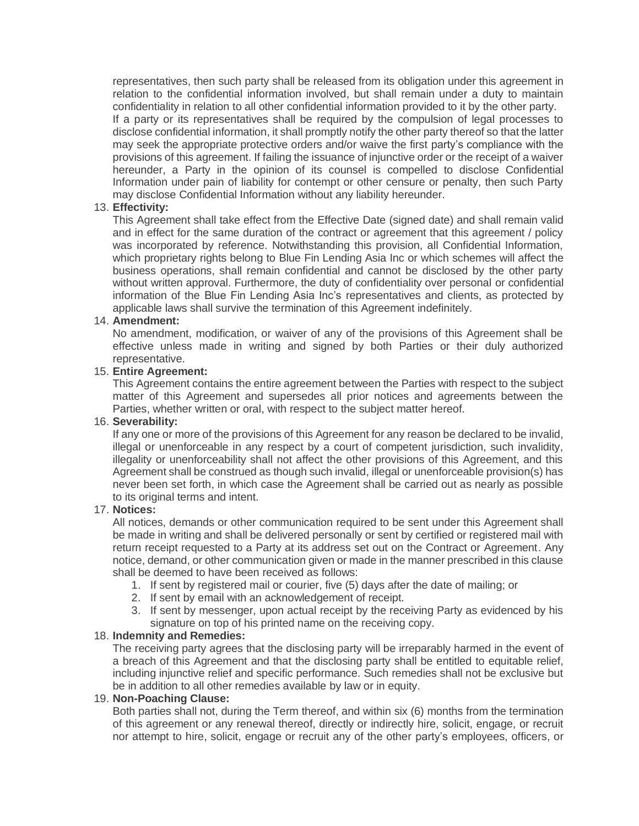representatives, then such party shall be released from its obligation under this agreement in relation to the confidential information involved, but shall remain under a duty to maintain confidentiality in relation to all other confidential information provided to it by the other party.

If a party or its representatives shall be required by the compulsion of legal processes to disclose confidential information, it shall promptly notify the other party thereof so that the latter may seek the appropriate protective orders and/or waive the first party's compliance with the provisions of this agreement. If failing the issuance of injunctive order or the receipt of a waiver hereunder, a Party in the opinion of its counsel is compelled to disclose Confidential Information under pain of liability for contempt or other censure or penalty, then such Party may disclose Confidential Information without any liability hereunder.

#### 13. **Effectivity:**

This Agreement shall take effect from the Effective Date (signed date) and shall remain valid and in effect for the same duration of the contract or agreement that this agreement / policy was incorporated by reference. Notwithstanding this provision, all Confidential Information, which proprietary rights belong to Blue Fin Lending Asia Inc or which schemes will affect the business operations, shall remain confidential and cannot be disclosed by the other party without written approval. Furthermore, the duty of confidentiality over personal or confidential information of the Blue Fin Lending Asia Inc's representatives and clients, as protected by applicable laws shall survive the termination of this Agreement indefinitely.

# 14. **Amendment:**

No amendment, modification, or waiver of any of the provisions of this Agreement shall be effective unless made in writing and signed by both Parties or their duly authorized representative.

#### 15. **Entire Agreement:**

This Agreement contains the entire agreement between the Parties with respect to the subject matter of this Agreement and supersedes all prior notices and agreements between the Parties, whether written or oral, with respect to the subject matter hereof.

#### 16. **Severability:**

If any one or more of the provisions of this Agreement for any reason be declared to be invalid, illegal or unenforceable in any respect by a court of competent jurisdiction, such invalidity, illegality or unenforceability shall not affect the other provisions of this Agreement, and this Agreement shall be construed as though such invalid, illegal or unenforceable provision(s) has never been set forth, in which case the Agreement shall be carried out as nearly as possible to its original terms and intent.

#### 17. **Notices:**

All notices, demands or other communication required to be sent under this Agreement shall be made in writing and shall be delivered personally or sent by certified or registered mail with return receipt requested to a Party at its address set out on the Contract or Agreement. Any notice, demand, or other communication given or made in the manner prescribed in this clause shall be deemed to have been received as follows:

- 1. If sent by registered mail or courier, five (5) days after the date of mailing; or
- 2. If sent by email with an acknowledgement of receipt.
- 3. If sent by messenger, upon actual receipt by the receiving Party as evidenced by his signature on top of his printed name on the receiving copy.

#### 18. **Indemnity and Remedies:**

The receiving party agrees that the disclosing party will be irreparably harmed in the event of a breach of this Agreement and that the disclosing party shall be entitled to equitable relief, including injunctive relief and specific performance. Such remedies shall not be exclusive but be in addition to all other remedies available by law or in equity.

#### 19. **Non-Poaching Clause:**

Both parties shall not, during the Term thereof, and within six (6) months from the termination of this agreement or any renewal thereof, directly or indirectly hire, solicit, engage, or recruit nor attempt to hire, solicit, engage or recruit any of the other party's employees, officers, or